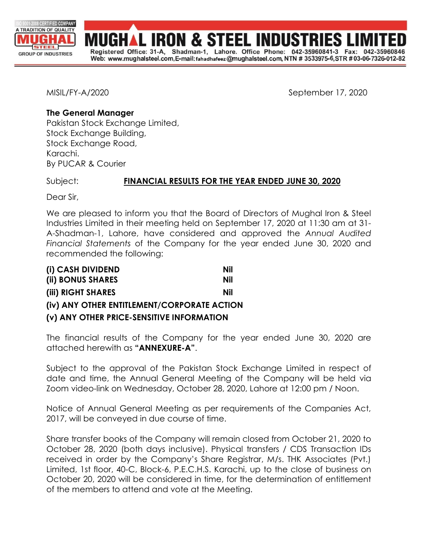

**IRON & STEEL INDUST** Registered Office: 31-A, Shadman-1, Lahore. Office Phone: 042-35960841-3  $Fax$ Web: www.mughalsteel.com,E-mail: fahadhafeez@mughalsteel.com, NTN # 3533975-6,STR #03-06-7326-012-82

MISIL/FY-A/2020 September 17, 2020

# **The General Manager**

Pakistan Stock Exchange Limited, Stock Exchange Building, Stock Exchange Road, Karachi. By PUCAR & Courier

# Subject: **FINANCIAL RESULTS FOR THE YEAR ENDED JUNE 30, 2020**

Dear Sir,

We are pleased to inform you that the Board of Directors of Mughal Iron & Steel Industries Limited in their meeting held on September 17, 2020 at 11:30 am at 31- A-Shadman-1, Lahore, have considered and approved the *Annual Audited Financial Statements* of the Company for the year ended June 30, 2020 and recommended the following:

| (i) CASH DIVIDEND                           | Nil |
|---------------------------------------------|-----|
| (ii) BONUS SHARES                           | Nil |
| (iii) RIGHT SHARES                          | Nil |
| (iv) ANY OTHER ENTITLEMENT/CORPORATE ACTION |     |
| (v) ANY OTHER PRICE-SENSITIVE INFORMATION   |     |

The financial results of the Company for the year ended June 30, 2020 are attached herewith as **"ANNEXURE-A"**.

Subject to the approval of the Pakistan Stock Exchange Limited in respect of date and time, the Annual General Meeting of the Company will be held via Zoom video-link on Wednesday, October 28, 2020, Lahore at 12:00 pm / Noon.

Notice of Annual General Meeting as per requirements of the Companies Act, 2017, will be conveyed in due course of time.

Share transfer books of the Company will remain closed from October 21, 2020 to October 28, 2020 (both days inclusive). Physical transfers / CDS Transaction IDs received in order by the Company's Share Registrar, M/s. THK Associates (Pvt.) Limited, 1st floor, 40-C, Block-6, P.E.C.H.S. Karachi, up to the close of business on October 20, 2020 will be considered in time, for the determination of entitlement of the members to attend and vote at the Meeting.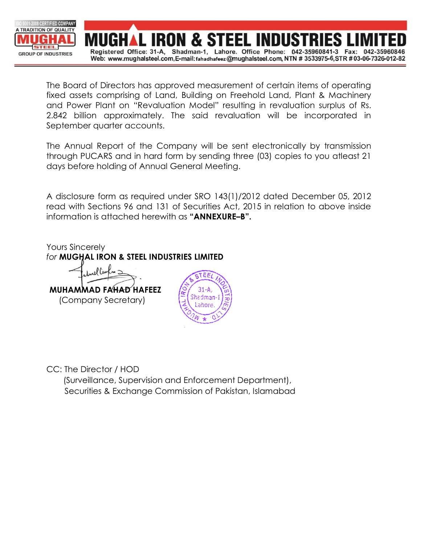

The Board of Directors has approved measurement of certain items of operating fixed assets comprising of Land, Building on Freehold Land, Plant & Machinery and Power Plant on "Revaluation Model" resulting in revaluation surplus of Rs. 2.842 billion approximately. The said revaluation will be incorporated in September quarter accounts.

The Annual Report of the Company will be sent electronically by transmission through PUCARS and in hard form by sending three (03) copies to you atleast 21 days before holding of Annual General Meeting.

A disclosure form as required under SRO 143(1)/2012 dated December 05, 2012 read with Sections 96 and 131 of Securities Act, 2015 in relation to above inside information is attached herewith as **"ANNEXURE–B".**

Yours Sincerely

*for* **MUGHAL IRON & STEEL INDUSTRIES LIMITED**

**MUHAMMAD FAHAD HAFEEZ** (Company Secretary)



CC: The Director / HOD

 (Surveillance, Supervision and Enforcement Department), Securities & Exchange Commission of Pakistan, Islamabad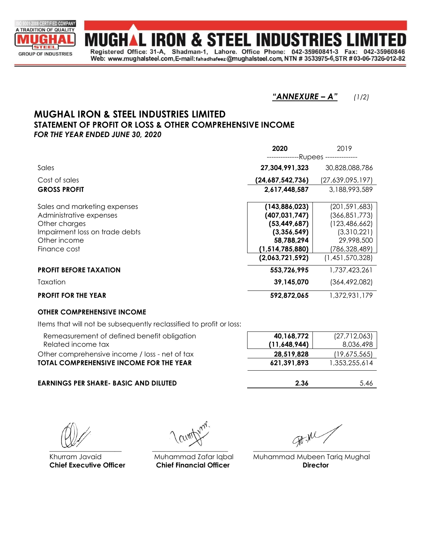

**MUGHAL IRON & STEEL INDUSTRIES LII** Registered Office: 31-A, Shadman-1, Lahore. Office Phone: 042-35960841-3 Fax: 042-3596 Web: www.mughalsteel.com,E-mail: fahadhafeez@mughalsteel.com, NTN # 3533975-6,STR #03-06-7326-012-82

*"ANNEXURE – A" (1/2)*

## **MUGHAL IRON & STEEL INDUSTRIES LIMITED STATEMENT OF PROFIT OR LOSS & OTHER COMPREHENSIVE INCOME** *FOR THE YEAR ENDED JUNE 30, 2020*

|                                | 2020             | 2019                    |  |
|--------------------------------|------------------|-------------------------|--|
|                                |                  | --Rupees -------------- |  |
| Sales                          | 27,304,991,323   | 30,828,088,786          |  |
| Cost of sales                  | (24,687,542,736) | (27,639,095,197)        |  |
| <b>GROSS PROFIT</b>            | 2,617,448,587    | 3,188,993,589           |  |
| Sales and marketing expenses   | (143,886,023)    | (201, 591, 683)         |  |
| Administrative expenses        | (407, 031, 747)  | (366,851,773)           |  |
| Other charges                  | (53, 449, 687)   | (123, 486, 662)         |  |
| Impairment loss on trade debts | (3,356,549)      | (3,310,221)             |  |
| Other income                   | 58,788,294       | 29,998,500              |  |
| Finance cost                   | (1,514,785,880)  | (786,328,489)           |  |
|                                | (2,063,721,592)  | (1,451,570,328)         |  |
| <b>PROFIT BEFORE TAXATION</b>  | 553,726,995      | 1,737,423,261           |  |
| Taxation                       | 39,145,070       | (364,492,082)           |  |
| <b>PROFIT FOR THE YEAR</b>     | 592,872,065      | 1,372,931,179           |  |

### **OTHER COMPREHENSIVE INCOME**

Items that will not be subsequently reclassified to profit or loss:

| Remeasurement of defined benefit obligation<br>Related income tax | 40,168,772<br>(11,648,944) | (27, 712, 063)<br>8,036,498 |
|-------------------------------------------------------------------|----------------------------|-----------------------------|
| Other comprehensive income / loss - net of tax                    | 28.519.828                 | (19,675,565)                |
| <b>TOTAL COMPREHENSIVE INCOME FOR THE YEAR</b>                    | 621.391.893                | 1,353,255,614               |
|                                                                   |                            |                             |

### **EARNINGS PER SHARE- BASIC AND DILUTED 2.36** 5.46

**Chief Executive Officer Chief Financial Officer Director**

 $\frac{1}{\sqrt{2}}$  ,  $\frac{1}{\sqrt{2}}$  ,  $\frac{1}{\sqrt{2}}$  ,  $\frac{1}{\sqrt{2}}$  ,  $\frac{1}{\sqrt{2}}$  ,  $\frac{1}{\sqrt{2}}$  ,  $\frac{1}{\sqrt{2}}$  ,  $\frac{1}{\sqrt{2}}$  ,  $\frac{1}{\sqrt{2}}$  ,  $\frac{1}{\sqrt{2}}$  ,  $\frac{1}{\sqrt{2}}$  ,  $\frac{1}{\sqrt{2}}$  ,  $\frac{1}{\sqrt{2}}$  ,  $\frac{1}{\sqrt{2}}$  ,  $\frac{1}{\sqrt{2}}$ 

Khurram Javaid **Muhammad Zafar Iqbal** Muhammad Mubeen Tariq Mughal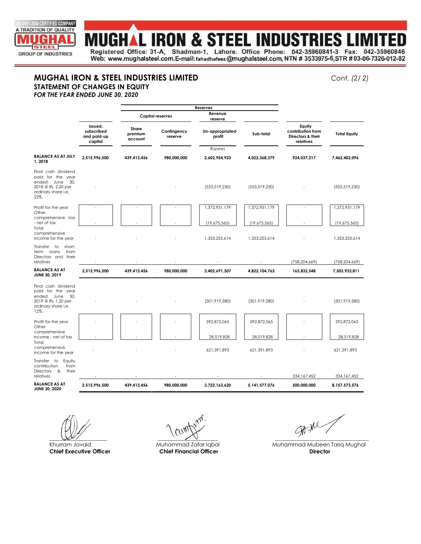

# **MUGHAL IRON & STEEL INDUSTRIES LII**

Registered Office: 31-A, Shadman-1, Lahore. Office Phone: 042-35960841-3 Fax: 042-35960846 Web: www.mughalsteel.com,E-mail: fahadhafeez@mughalsteel.com, NTN # 3533975-6,STR #03-06-7326-012-82

#### **MUGHAL IRON & STEEL INDUSTRIES LIMITED** *Cont. (2/ 2)* **STATEMENT OF CHANGES IN EQUITY**

*FOR THE YEAR ENDED JUNE 30, 2020*

|                                                                                                                     |                                                 | Reserves                    |                        |                           |                 |                                                               |                     |
|---------------------------------------------------------------------------------------------------------------------|-------------------------------------------------|-----------------------------|------------------------|---------------------------|-----------------|---------------------------------------------------------------|---------------------|
|                                                                                                                     |                                                 | <b>Capital reserves</b>     |                        | Revenue<br>reserve        |                 |                                                               |                     |
|                                                                                                                     | Issued.<br>subscribed<br>and paid-up<br>capital | Share<br>premium<br>account | Confingency<br>reserve | Un-appropriated<br>profit | Sub-total       | Equity<br>contribution from<br>Directors & their<br>relatives | <b>Total Equity</b> |
|                                                                                                                     |                                                 |                             |                        | Rupees                    |                 |                                                               |                     |
| <b>BALANCE AS AT JULY</b><br>1,2018                                                                                 | 2,515,996,500                                   | 439,413,456                 | 980,000,000            | 2,602,954,923             | 4,022,368,379   | 924,037,217                                                   | 7,462,402,096       |
| Final cash dividend<br>paid for the year<br>ended June<br>30,<br>2018 @ Rs. 2.20 per<br>ordinary share i.e.<br>22%. |                                                 |                             |                        | (553, 519, 230)           | (553, 519, 230) |                                                               | (553, 519, 230)     |
| Profit for the year                                                                                                 |                                                 |                             |                        | 1,372,931,179             | 1,372,931,179   |                                                               | 1,372,931,179       |
| Other<br>comprehensive loss<br>- net of tax<br>Total                                                                |                                                 |                             |                        | (19,675,565)              | (19,675,565)    |                                                               | (19,675,565)        |
| comprehensive<br>income for the year                                                                                |                                                 |                             |                        | 1,353,255,614             | 1,353,255,614   |                                                               | 1,353,255,614       |
| short-<br>Transfer to<br>term<br>loans<br>from<br>Directors and their<br>relatives                                  |                                                 |                             |                        |                           |                 | (758, 204, 669)                                               | (758, 204, 669)     |
| <b>BALANCE AS AT</b><br>JUNE 30, 2019                                                                               | 2.515.996.500                                   | 439,413,456                 | 980,000,000            | 3,402,691,307             | 4,822,104,763   | 165,832,548                                                   | 7,503,933,811       |
| Final cash dividend<br>paid for the year<br>ended June<br>30.<br>2019 @ Rs. 1.20 per<br>ordinary share i.e.<br>12%. |                                                 |                             |                        | (301, 919, 580)           | (301, 919, 580) |                                                               | (301, 919, 580)     |
| Profit for the year<br>Other                                                                                        |                                                 |                             |                        | 592,872,065               | 592,872,065     |                                                               | 592,872,065         |
| comprehensive<br>income - net of tax                                                                                |                                                 |                             |                        | 28,519,828                | 28,519,828      |                                                               | 28,519,828          |
| Total<br>comprehensive<br>income for the year                                                                       |                                                 |                             |                        | 621,391,893               | 621,391,893     |                                                               | 621,391,893         |
| Transfer to Equity<br>contribution<br>from<br><b>Directors</b><br>- &<br>their<br>relatives                         |                                                 |                             |                        |                           |                 | 334,167,452                                                   | 334, 167, 452       |
| <b>BALANCE AS AT</b><br><b>JUNE 30, 2020</b>                                                                        | 2,515,996,500                                   | 439,413,456                 | 980,000,000            | 3,722,163,620             | 5,141,577,076   | 500,000,000                                                   | 8,157,573,576       |
|                                                                                                                     |                                                 |                             |                        |                           |                 |                                                               |                     |

**Chief Executive Officer Chief Financial Officer Director**

 $\mathcal{F}^{\mu\nu}$ 

Khurram Javaid **Muhammad Zafar Iqbal** Muhammad Muhammad Mubeen Tariq Mughal